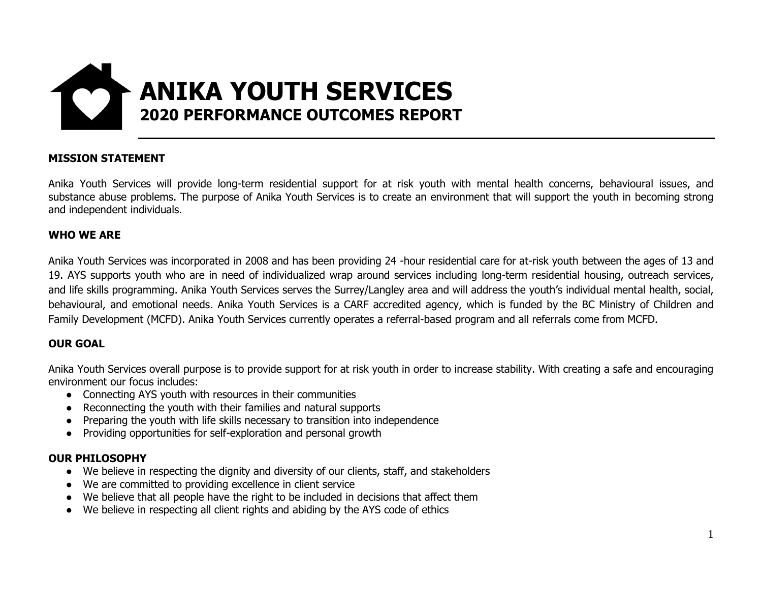

#### **MISSION STATEMENT**

Anika Youth Services will provide long-term residential support for at risk youth with mental health concerns, behavioural issues, and substance abuse problems. The purpose of Anika Youth Services is to create an environment that will support the youth in becoming strong and independent individuals.

#### **WHO WE ARE**

Anika Youth Services was incorporated in 2008 and has been providing 24 -hour residential care for at-risk youth between the ages of 13 and 19. AYS supports youth who are in need of individualized wrap around services including long-term residential housing, outreach services, and life skills programming. Anika Youth Services serves the Surrey/Langley area and will address the youth's individual mental health, social, behavioural, and emotional needs. Anika Youth Services is a CARF accredited agency, which is funded by the BC Ministry of Children and Family Development (MCFD). Anika Youth Services currently operates a referral-based program and all referrals come from MCFD.

#### **OUR GOAL**

Anika Youth Services overall purpose is to provide support for at risk youth in order to increase stability. With creating a safe and encouraging environment our focus includes:

- Connecting AYS youth with resources in their communities
- Reconnecting the youth with their families and natural supports
- Preparing the youth with life skills necessary to transition into independence
- Providing opportunities for self-exploration and personal growth

#### **OUR PHILOSOPHY**

- We believe in respecting the dignity and diversity of our clients, staff, and stakeholders
- We are committed to providing excellence in client service
- We believe that all people have the right to be included in decisions that affect them
- We believe in respecting all client rights and abiding by the AYS code of ethics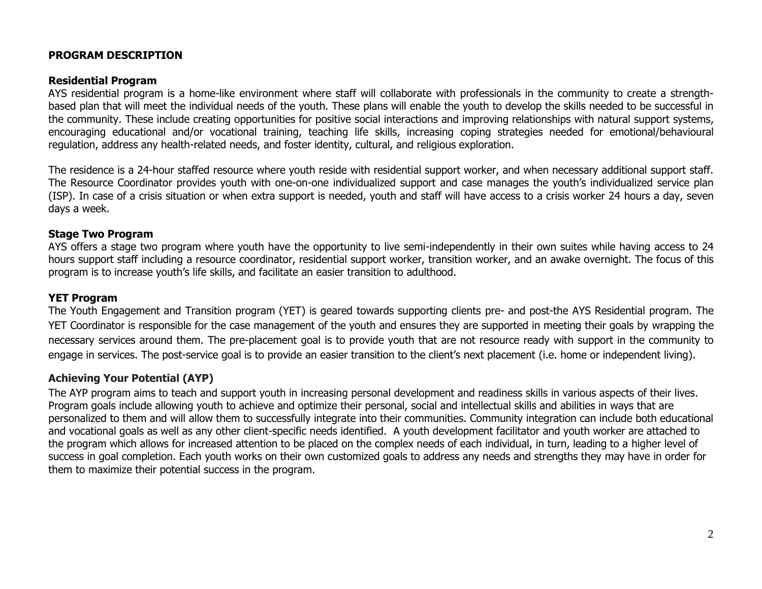#### **PROGRAM DESCRIPTION**

#### **Residential Program**

AYS residential program is a home-like environment where staff will collaborate with professionals in the community to create a strengthbased plan that will meet the individual needs of the youth. These plans will enable the youth to develop the skills needed to be successful in the community. These include creating opportunities for positive social interactions and improving relationships with natural support systems, encouraging educational and/or vocational training, teaching life skills, increasing coping strategies needed for emotional/behavioural regulation, address any health-related needs, and foster identity, cultural, and religious exploration.

The residence is a 24-hour staffed resource where youth reside with residential support worker, and when necessary additional support staff. The Resource Coordinator provides youth with one-on-one individualized support and case manages the youth's individualized service plan (ISP). In case of a crisis situation or when extra support is needed, youth and staff will have access to a crisis worker 24 hours a day, seven days a week.

#### **Stage Two Program**

AYS offers a stage two program where youth have the opportunity to live semi-independently in their own suites while having access to 24 hours support staff including a resource coordinator, residential support worker, transition worker, and an awake overnight. The focus of this program is to increase youth's life skills, and facilitate an easier transition to adulthood.

#### **YET Program**

The Youth Engagement and Transition program (YET) is geared towards supporting clients pre- and post-the AYS Residential program. The YET Coordinator is responsible for the case management of the youth and ensures they are supported in meeting their goals by wrapping the necessary services around them. The pre-placement goal is to provide youth that are not resource ready with support in the community to engage in services. The post-service goal is to provide an easier transition to the client's next placement (i.e. home or independent living).

#### **Achieving Your Potential (AYP)**

The AYP program aims to teach and support youth in increasing personal development and readiness skills in various aspects of their lives. Program goals include allowing youth to achieve and optimize their personal, social and intellectual skills and abilities in ways that are personalized to them and will allow them to successfully integrate into their communities. Community integration can include both educational and vocational goals as well as any other client-specific needs identified. A youth development facilitator and youth worker are attached to the program which allows for increased attention to be placed on the complex needs of each individual, in turn, leading to a higher level of success in goal completion. Each youth works on their own customized goals to address any needs and strengths they may have in order for them to maximize their potential success in the program.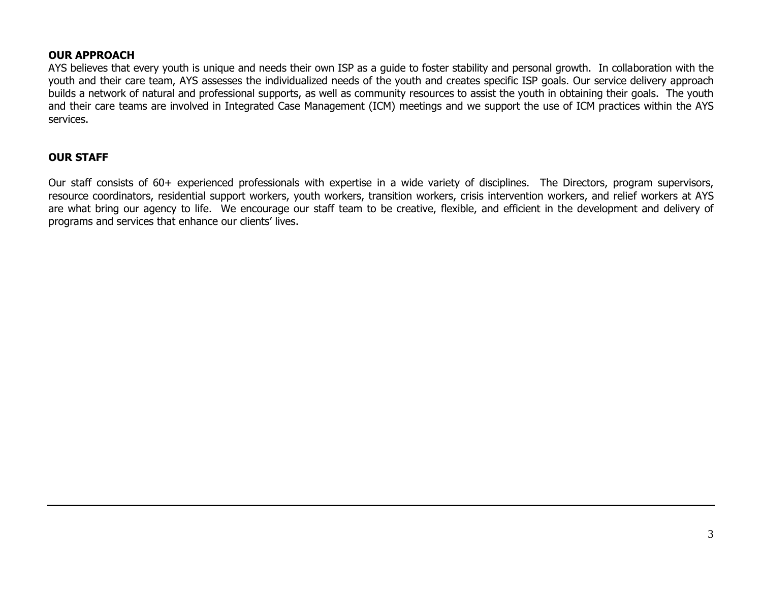#### **OUR APPROACH**

AYS believes that every youth is unique and needs their own ISP as a guide to foster stability and personal growth. In collaboration with the youth and their care team, AYS assesses the individualized needs of the youth and creates specific ISP goals. Our service delivery approach builds a network of natural and professional supports, as well as community resources to assist the youth in obtaining their goals. The youth and their care teams are involved in Integrated Case Management (ICM) meetings and we support the use of ICM practices within the AYS services.

#### **OUR STAFF**

Our staff consists of 60+ experienced professionals with expertise in a wide variety of disciplines. The Directors, program supervisors, resource coordinators, residential support workers, youth workers, transition workers, crisis intervention workers, and relief workers at AYS are what bring our agency to life. We encourage our staff team to be creative, flexible, and efficient in the development and delivery of programs and services that enhance our clients' lives.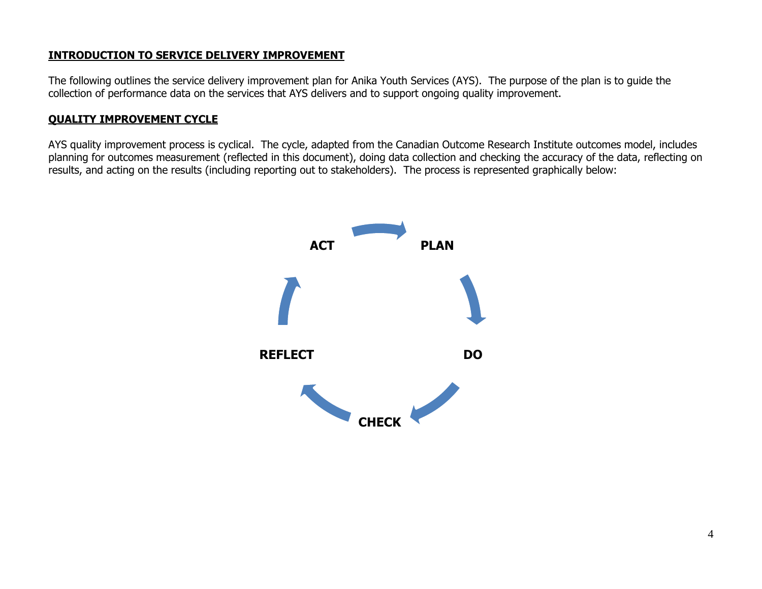### **INTRODUCTION TO SERVICE DELIVERY IMPROVEMENT**

The following outlines the service delivery improvement plan for Anika Youth Services (AYS). The purpose of the plan is to guide the collection of performance data on the services that AYS delivers and to support ongoing quality improvement.

## **QUALITY IMPROVEMENT CYCLE**

AYS quality improvement process is cyclical. The cycle, adapted from the Canadian Outcome Research Institute outcomes model, includes planning for outcomes measurement (reflected in this document), doing data collection and checking the accuracy of the data, reflecting on results, and acting on the results (including reporting out to stakeholders). The process is represented graphically below:

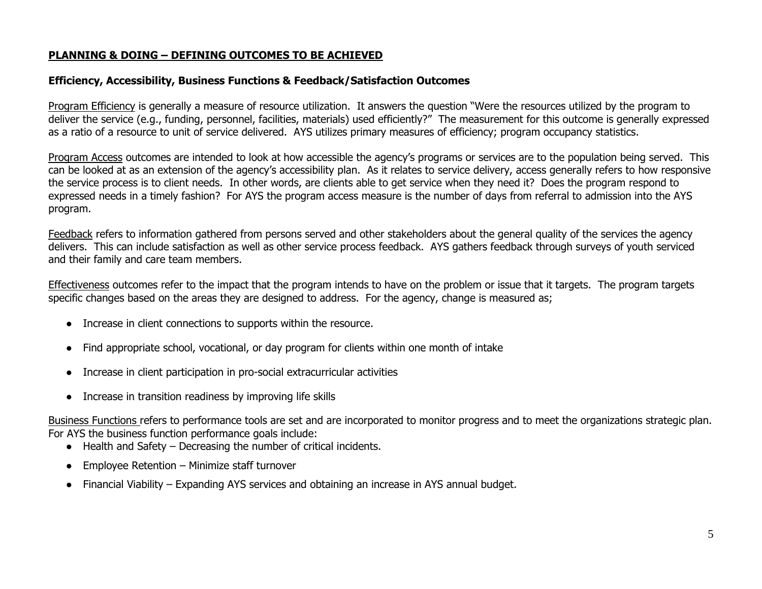#### **PLANNING & DOING – DEFINING OUTCOMES TO BE ACHIEVED**

#### **Efficiency, Accessibility, Business Functions & Feedback/Satisfaction Outcomes**

Program Efficiency is generally a measure of resource utilization. It answers the question "Were the resources utilized by the program to deliver the service (e.g., funding, personnel, facilities, materials) used efficiently?" The measurement for this outcome is generally expressed as a ratio of a resource to unit of service delivered. AYS utilizes primary measures of efficiency; program occupancy statistics.

Program Access outcomes are intended to look at how accessible the agency's programs or services are to the population being served. This can be looked at as an extension of the agency's accessibility plan. As it relates to service delivery, access generally refers to how responsive the service process is to client needs. In other words, are clients able to get service when they need it? Does the program respond to expressed needs in a timely fashion? For AYS the program access measure is the number of days from referral to admission into the AYS program.

Feedback refers to information gathered from persons served and other stakeholders about the general quality of the services the agency delivers. This can include satisfaction as well as other service process feedback. AYS gathers feedback through surveys of youth serviced and their family and care team members.

Effectiveness outcomes refer to the impact that the program intends to have on the problem or issue that it targets. The program targets specific changes based on the areas they are designed to address. For the agency, change is measured as;

- Increase in client connections to supports within the resource.
- Find appropriate school, vocational, or day program for clients within one month of intake
- Increase in client participation in pro-social extracurricular activities
- Increase in transition readiness by improving life skills

Business Functions refers to performance tools are set and are incorporated to monitor progress and to meet the organizations strategic plan. For AYS the business function performance goals include:

- Health and Safety Decreasing the number of critical incidents.
- Employee Retention Minimize staff turnover
- Financial Viability Expanding AYS services and obtaining an increase in AYS annual budget.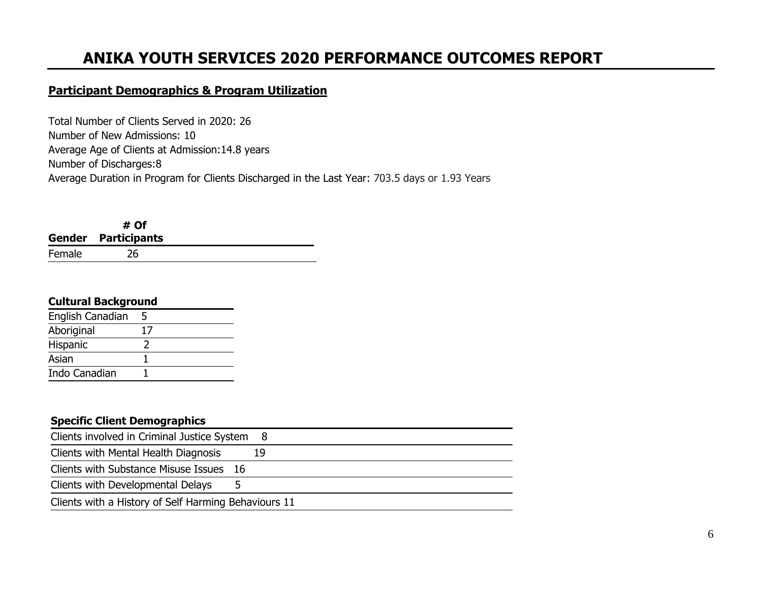# **ANIKA YOUTH SERVICES 2020 PERFORMANCE OUTCOMES REPORT**

# **Participant Demographics & Program Utilization**

Total Number of Clients Served in 2020: 26 Number of New Admissions: 10 Average Age of Clients at Admission:14.8 years Number of Discharges:8 Average Duration in Program for Clients Discharged in the Last Year: 703.5 days or 1.93 Years

|        | # Of                       |  |
|--------|----------------------------|--|
|        | <b>Gender Participants</b> |  |
| Female | 26                         |  |

#### **Cultural Background**

| English Canadian | 5  |  |
|------------------|----|--|
| Aboriginal       | 17 |  |
| Hispanic         |    |  |
| Asian            |    |  |
| Indo Canadian    |    |  |

| <b>Specific Client Demographics</b>                  |    |
|------------------------------------------------------|----|
| Clients involved in Criminal Justice System 8        |    |
| Clients with Mental Health Diagnosis                 | 19 |
| Clients with Substance Misuse Issues 16              |    |
| Clients with Developmental Delays<br>Ь               |    |
| Clients with a History of Self Harming Behaviours 11 |    |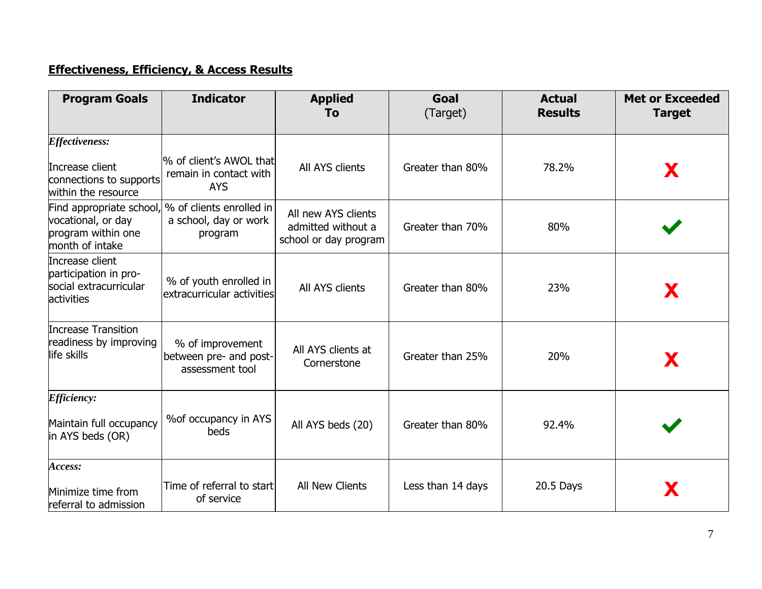# **Effectiveness, Efficiency, & Access Results**

| <b>Program Goals</b>                                                                    | <b>Indicator</b>                                                | <b>Applied</b><br>To                                               | Goal<br>(Target)  | <b>Actual</b><br><b>Results</b> | <b>Met or Exceeded</b><br><b>Target</b> |
|-----------------------------------------------------------------------------------------|-----------------------------------------------------------------|--------------------------------------------------------------------|-------------------|---------------------------------|-----------------------------------------|
| <b>Effectiveness:</b>                                                                   |                                                                 |                                                                    |                   |                                 |                                         |
| Increase client<br>connections to supports<br>within the resource                       | % of client's AWOL that<br>remain in contact with<br><b>AYS</b> | All AYS clients                                                    | Greater than 80%  | 78.2%                           | X                                       |
| Find appropriate school,<br>vocational, or day<br>program within one<br>month of intake | % of clients enrolled in<br>a school, day or work<br>program    | All new AYS clients<br>admitted without a<br>school or day program | Greater than 70%  | 80%                             |                                         |
| Increase client<br>participation in pro-<br>social extracurricular<br><b>activities</b> | % of youth enrolled in<br>extracurricular activities            | All AYS clients                                                    | Greater than 80%  | 23%                             | X                                       |
| <b>Increase Transition</b><br>readiness by improving<br>life skills                     | % of improvement<br>between pre- and post-<br>assessment tool   | All AYS clients at<br>Cornerstone                                  | Greater than 25%  | 20%                             | X                                       |
| <i><b>Efficiency:</b></i>                                                               |                                                                 |                                                                    |                   |                                 |                                         |
| Maintain full occupancy<br>in AYS beds (OR)                                             | % of occupancy in AYS<br>beds                                   | All AYS beds (20)                                                  | Greater than 80%  | 92.4%                           |                                         |
| Access:                                                                                 |                                                                 |                                                                    |                   |                                 |                                         |
| Minimize time from<br>referral to admission                                             | Time of referral to start<br>of service                         | All New Clients                                                    | Less than 14 days | 20.5 Days                       | X                                       |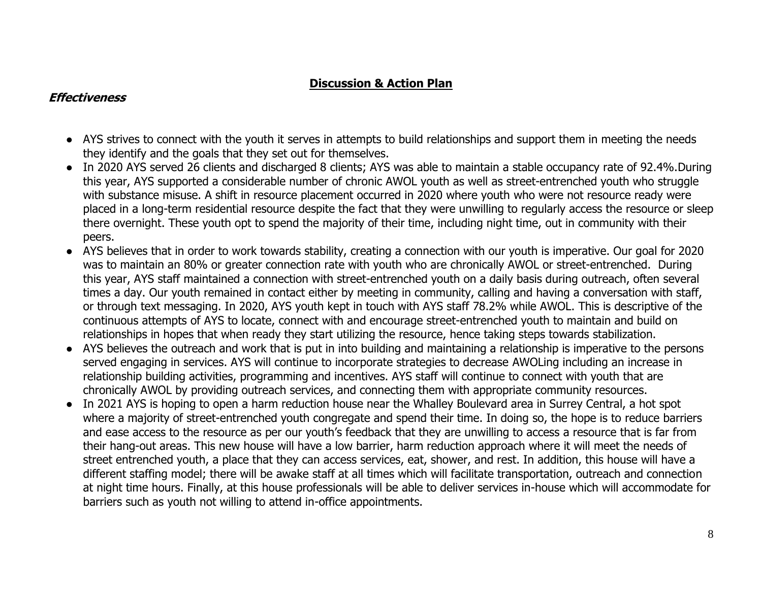# **Discussion & Action Plan**

# **Effectiveness**

- AYS strives to connect with the youth it serves in attempts to build relationships and support them in meeting the needs they identify and the goals that they set out for themselves.
- In 2020 AYS served 26 clients and discharged 8 clients; AYS was able to maintain a stable occupancy rate of 92.4%.During this year, AYS supported a considerable number of chronic AWOL youth as well as street-entrenched youth who struggle with substance misuse. A shift in resource placement occurred in 2020 where youth who were not resource ready were placed in a long-term residential resource despite the fact that they were unwilling to regularly access the resource or sleep there overnight. These youth opt to spend the majority of their time, including night time, out in community with their peers.
- AYS believes that in order to work towards stability, creating a connection with our youth is imperative. Our goal for 2020 was to maintain an 80% or greater connection rate with youth who are chronically AWOL or street-entrenched. During this year, AYS staff maintained a connection with street-entrenched youth on a daily basis during outreach, often several times a day. Our youth remained in contact either by meeting in community, calling and having a conversation with staff, or through text messaging. In 2020, AYS youth kept in touch with AYS staff 78.2% while AWOL. This is descriptive of the continuous attempts of AYS to locate, connect with and encourage street-entrenched youth to maintain and build on relationships in hopes that when ready they start utilizing the resource, hence taking steps towards stabilization.
- AYS believes the outreach and work that is put in into building and maintaining a relationship is imperative to the persons served engaging in services. AYS will continue to incorporate strategies to decrease AWOLing including an increase in relationship building activities, programming and incentives. AYS staff will continue to connect with youth that are chronically AWOL by providing outreach services, and connecting them with appropriate community resources.
- In 2021 AYS is hoping to open a harm reduction house near the Whalley Boulevard area in Surrey Central, a hot spot where a majority of street-entrenched youth congregate and spend their time. In doing so, the hope is to reduce barriers and ease access to the resource as per our youth's feedback that they are unwilling to access a resource that is far from their hang-out areas. This new house will have a low barrier, harm reduction approach where it will meet the needs of street entrenched youth, a place that they can access services, eat, shower, and rest. In addition, this house will have a different staffing model; there will be awake staff at all times which will facilitate transportation, outreach and connection at night time hours. Finally, at this house professionals will be able to deliver services in-house which will accommodate for barriers such as youth not willing to attend in-office appointments.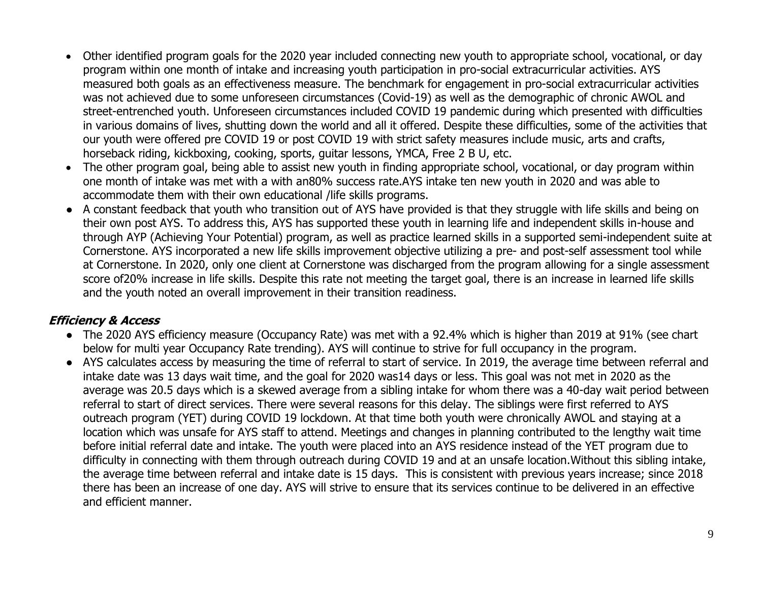- Other identified program goals for the 2020 year included connecting new youth to appropriate school, vocational, or day program within one month of intake and increasing youth participation in pro-social extracurricular activities. AYS measured both goals as an effectiveness measure. The benchmark for engagement in pro-social extracurricular activities was not achieved due to some unforeseen circumstances (Covid-19) as well as the demographic of chronic AWOL and street-entrenched youth. Unforeseen circumstances included COVID 19 pandemic during which presented with difficulties in various domains of lives, shutting down the world and all it offered. Despite these difficulties, some of the activities that our youth were offered pre COVID 19 or post COVID 19 with strict safety measures include music, arts and crafts, horseback riding, kickboxing, cooking, sports, guitar lessons, YMCA, Free 2 B U, etc.
- The other program goal, being able to assist new youth in finding appropriate school, vocational, or day program within one month of intake was met with a with an80% success rate.AYS intake ten new youth in 2020 and was able to accommodate them with their own educational /life skills programs.
- A constant feedback that youth who transition out of AYS have provided is that they struggle with life skills and being on their own post AYS. To address this, AYS has supported these youth in learning life and independent skills in-house and through AYP (Achieving Your Potential) program, as well as practice learned skills in a supported semi-independent suite at Cornerstone. AYS incorporated a new life skills improvement objective utilizing a pre- and post-self assessment tool while at Cornerstone. In 2020, only one client at Cornerstone was discharged from the program allowing for a single assessment score of20% increase in life skills. Despite this rate not meeting the target goal, there is an increase in learned life skills and the youth noted an overall improvement in their transition readiness.

# **Efficiency & Access**

- The 2020 AYS efficiency measure (Occupancy Rate) was met with a 92.4% which is higher than 2019 at 91% (see chart below for multi year Occupancy Rate trending). AYS will continue to strive for full occupancy in the program.
- AYS calculates access by measuring the time of referral to start of service. In 2019, the average time between referral and intake date was 13 days wait time, and the goal for 2020 was14 days or less. This goal was not met in 2020 as the average was 20.5 days which is a skewed average from a sibling intake for whom there was a 40-day wait period between referral to start of direct services. There were several reasons for this delay. The siblings were first referred to AYS outreach program (YET) during COVID 19 lockdown. At that time both youth were chronically AWOL and staying at a location which was unsafe for AYS staff to attend. Meetings and changes in planning contributed to the lengthy wait time before initial referral date and intake. The youth were placed into an AYS residence instead of the YET program due to difficulty in connecting with them through outreach during COVID 19 and at an unsafe location.Without this sibling intake, the average time between referral and intake date is 15 days. This is consistent with previous years increase; since 2018 there has been an increase of one day. AYS will strive to ensure that its services continue to be delivered in an effective and efficient manner.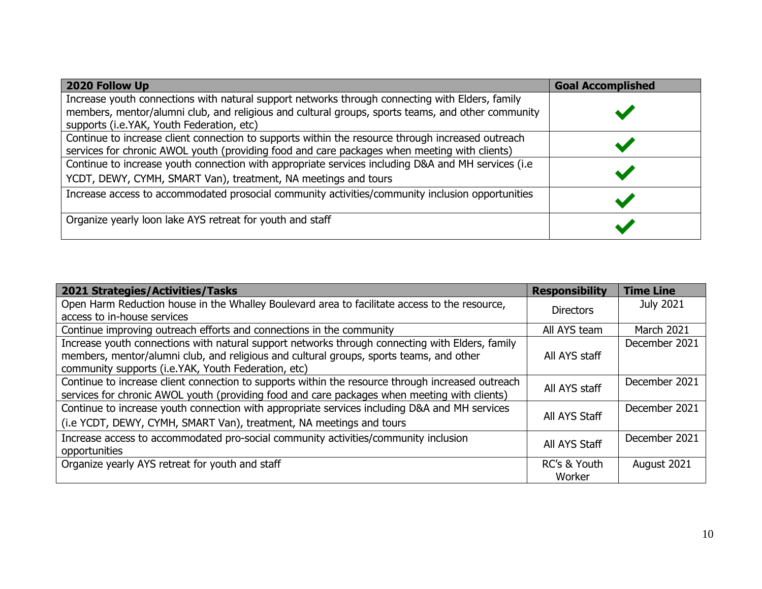| 2020 Follow Up                                                                                                                                                                                                                                     | <b>Goal Accomplished</b> |
|----------------------------------------------------------------------------------------------------------------------------------------------------------------------------------------------------------------------------------------------------|--------------------------|
| Increase youth connections with natural support networks through connecting with Elders, family<br>members, mentor/alumni club, and religious and cultural groups, sports teams, and other community<br>supports (i.e. YAK, Youth Federation, etc) |                          |
| Continue to increase client connection to supports within the resource through increased outreach<br>services for chronic AWOL youth (providing food and care packages when meeting with clients)                                                  |                          |
| Continue to increase youth connection with appropriate services including D&A and MH services (i.e<br>YCDT, DEWY, CYMH, SMART Van), treatment, NA meetings and tours                                                                               |                          |
| Increase access to accommodated prosocial community activities/community inclusion opportunities                                                                                                                                                   |                          |
| Organize yearly loon lake AYS retreat for youth and staff                                                                                                                                                                                          |                          |

| <b>2021 Strategies/Activities/Tasks</b>                                                           | <b>Responsibility</b> | <b>Time Line</b>  |
|---------------------------------------------------------------------------------------------------|-----------------------|-------------------|
| Open Harm Reduction house in the Whalley Boulevard area to facilitate access to the resource,     | <b>Directors</b>      | July 2021         |
| access to in-house services                                                                       |                       |                   |
| Continue improving outreach efforts and connections in the community                              | All AYS team          | <b>March 2021</b> |
| Increase youth connections with natural support networks through connecting with Elders, family   |                       | December 2021     |
| members, mentor/alumni club, and religious and cultural groups, sports teams, and other           | All AYS staff         |                   |
| community supports (i.e. YAK, Youth Federation, etc)                                              |                       |                   |
| Continue to increase client connection to supports within the resource through increased outreach | All AYS staff         | December 2021     |
| services for chronic AWOL youth (providing food and care packages when meeting with clients)      |                       |                   |
| Continue to increase youth connection with appropriate services including D&A and MH services     |                       | December 2021     |
| (i.e YCDT, DEWY, CYMH, SMART Van), treatment, NA meetings and tours                               | All AYS Staff         |                   |
| Increase access to accommodated pro-social community activities/community inclusion               | All AYS Staff         | December 2021     |
| opportunities                                                                                     |                       |                   |
| Organize yearly AYS retreat for youth and staff                                                   | RC's & Youth          | August 2021       |
|                                                                                                   | Worker                |                   |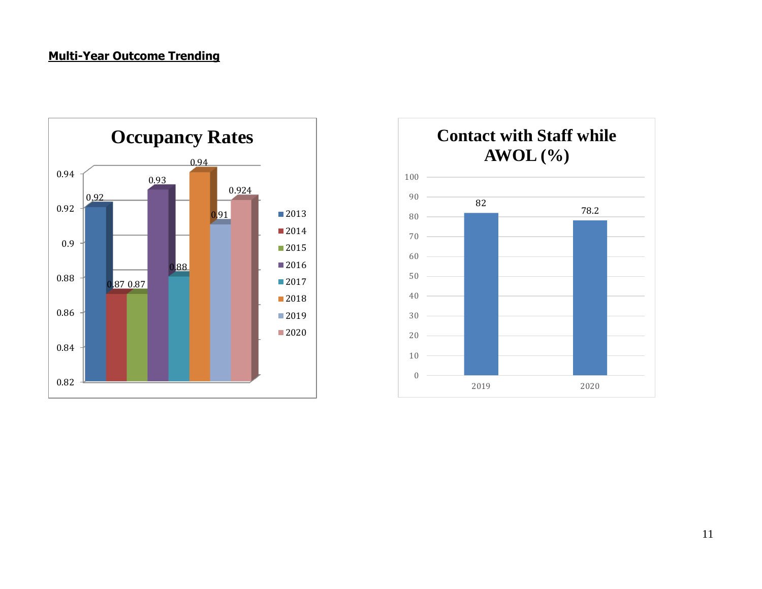# **Multi-Year Outcome Trending**



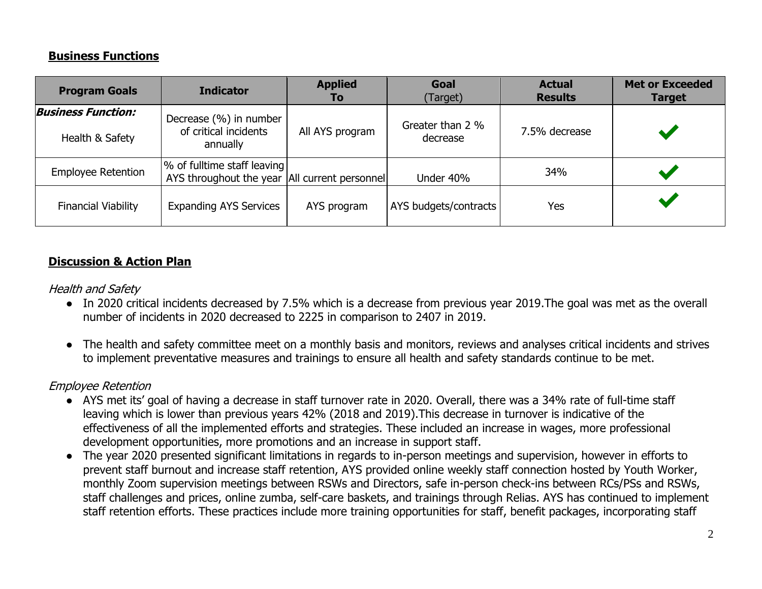# **Business Functions**

| <b>Program Goals</b>       | <b>Indicator</b>                                                               | <b>Applied</b><br><b>To</b> | Goal<br>Target)       | <b>Actual</b><br><b>Results</b> | <b>Met or Exceeded</b><br><b>Target</b> |
|----------------------------|--------------------------------------------------------------------------------|-----------------------------|-----------------------|---------------------------------|-----------------------------------------|
| <b>Business Function:</b>  | Decrease (%) in number                                                         |                             | Greater than 2 %      |                                 |                                         |
| Health & Safety            | of critical incidents<br>annually                                              | All AYS program             | decrease              | 7.5% decrease                   |                                         |
| <b>Employee Retention</b>  | % of fulltime staff leaving<br>AYS throughout the year   All current personnel |                             | Under 40%             | 34%                             |                                         |
| <b>Financial Viability</b> | <b>Expanding AYS Services</b>                                                  | AYS program                 | AYS budgets/contracts | Yes                             |                                         |

# **Discussion & Action Plan**

## Health and Safety

- In 2020 critical incidents decreased by 7.5% which is a decrease from previous year 2019. The goal was met as the overall number of incidents in 2020 decreased to 2225 in comparison to 2407 in 2019.
- The health and safety committee meet on a monthly basis and monitors, reviews and analyses critical incidents and strives to implement preventative measures and trainings to ensure all health and safety standards continue to be met.

# Employee Retention

- AYS met its' goal of having a decrease in staff turnover rate in 2020. Overall, there was a 34% rate of full-time staff leaving which is lower than previous years 42% (2018 and 2019).This decrease in turnover is indicative of the effectiveness of all the implemented efforts and strategies. These included an increase in wages, more professional development opportunities, more promotions and an increase in support staff.
- The year 2020 presented significant limitations in regards to in-person meetings and supervision, however in efforts to prevent staff burnout and increase staff retention, AYS provided online weekly staff connection hosted by Youth Worker, monthly Zoom supervision meetings between RSWs and Directors, safe in-person check-ins between RCs/PSs and RSWs, staff challenges and prices, online zumba, self-care baskets, and trainings through Relias. AYS has continued to implement staff retention efforts. These practices include more training opportunities for staff, benefit packages, incorporating staff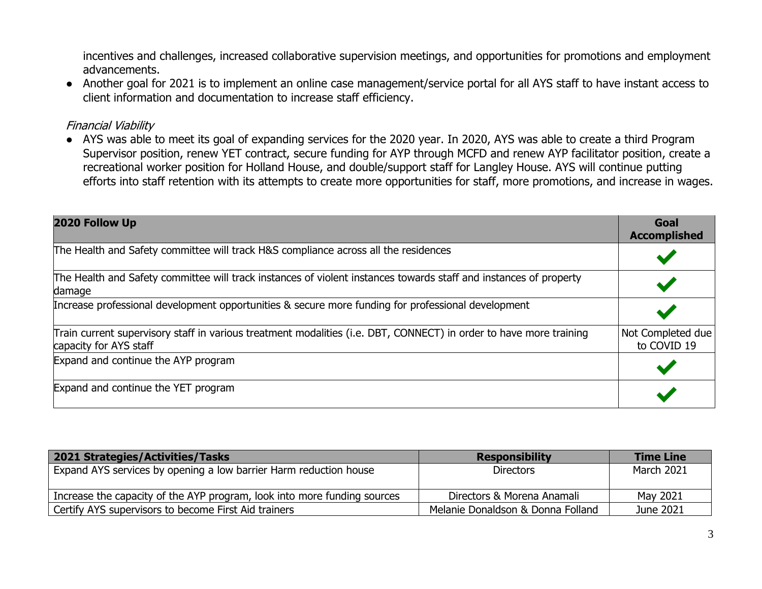incentives and challenges, increased collaborative supervision meetings, and opportunities for promotions and employment advancements.

● Another goal for 2021 is to implement an online case management/service portal for all AYS staff to have instant access to client information and documentation to increase staff efficiency.

### Financial Viability

● AYS was able to meet its goal of expanding services for the 2020 year. In 2020, AYS was able to create a third Program Supervisor position, renew YET contract, secure funding for AYP through MCFD and renew AYP facilitator position, create a recreational worker position for Holland House, and double/support staff for Langley House. AYS will continue putting efforts into staff retention with its attempts to create more opportunities for staff, more promotions, and increase in wages.

| 2020 Follow Up                                                                                                                               | Goal<br><b>Accomplished</b>      |
|----------------------------------------------------------------------------------------------------------------------------------------------|----------------------------------|
| The Health and Safety committee will track H&S compliance across all the residences                                                          |                                  |
| The Health and Safety committee will track instances of violent instances towards staff and instances of property<br>damage                  |                                  |
| Increase professional development opportunities & secure more funding for professional development                                           |                                  |
| Train current supervisory staff in various treatment modalities (i.e. DBT, CONNECT) in order to have more training<br>capacity for AYS staff | Not Completed due<br>to COVID 19 |
| Expand and continue the AYP program                                                                                                          |                                  |
| Expand and continue the YET program                                                                                                          |                                  |

| 2021 Strategies/Activities/Tasks                                         | <b>Responsibility</b>             | <b>Time Line</b>  |
|--------------------------------------------------------------------------|-----------------------------------|-------------------|
| Expand AYS services by opening a low barrier Harm reduction house        | <b>Directors</b>                  | <b>March 2021</b> |
| Increase the capacity of the AYP program, look into more funding sources | Directors & Morena Anamali        | May 2021          |
| Certify AYS supervisors to become First Aid trainers                     | Melanie Donaldson & Donna Folland | June 2021         |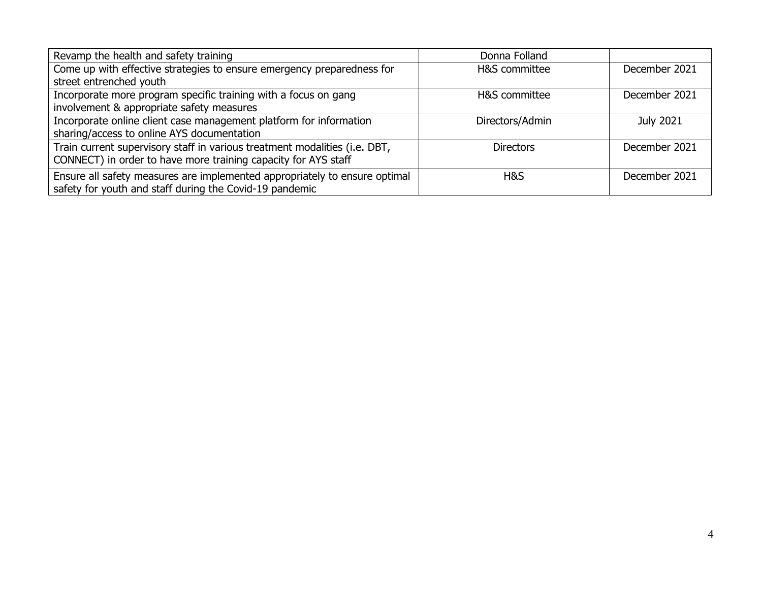| Revamp the health and safety training                                      | Donna Folland    |                  |
|----------------------------------------------------------------------------|------------------|------------------|
| Come up with effective strategies to ensure emergency preparedness for     | H&S committee    | December 2021    |
| street entrenched youth                                                    |                  |                  |
| Incorporate more program specific training with a focus on gang            | H&S committee    | December 2021    |
| involvement & appropriate safety measures                                  |                  |                  |
| Incorporate online client case management platform for information         | Directors/Admin  | <b>July 2021</b> |
| sharing/access to online AYS documentation                                 |                  |                  |
| Train current supervisory staff in various treatment modalities (i.e. DBT, | <b>Directors</b> | December 2021    |
| CONNECT) in order to have more training capacity for AYS staff             |                  |                  |
| Ensure all safety measures are implemented appropriately to ensure optimal | H&S              | December 2021    |
| safety for youth and staff during the Covid-19 pandemic                    |                  |                  |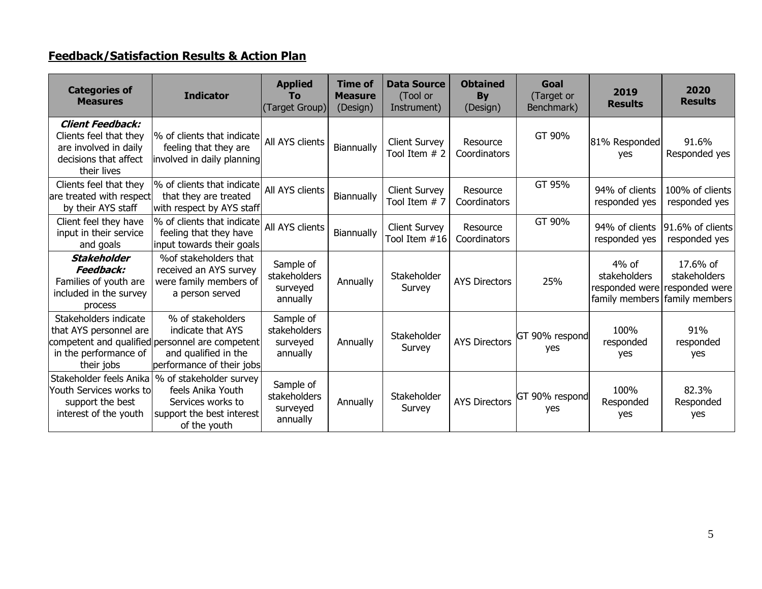# **Feedback/Satisfaction Results & Action Plan**

| <b>Categories of</b><br><b>Measures</b>                                                                            | <b>Indicator</b>                                                                                                                               | <b>Applied</b><br>To<br>(Target Group)            | <b>Time of</b><br><b>Measure</b><br>(Design) | <b>Data Source</b><br>(Tool or<br>Instrument) | <b>Obtained</b><br><b>By</b><br>(Design) | Goal<br>(Target or<br>Benchmark) | 2019<br><b>Results</b>                    | 2020<br><b>Results</b>                                                      |
|--------------------------------------------------------------------------------------------------------------------|------------------------------------------------------------------------------------------------------------------------------------------------|---------------------------------------------------|----------------------------------------------|-----------------------------------------------|------------------------------------------|----------------------------------|-------------------------------------------|-----------------------------------------------------------------------------|
| <b>Client Feedback:</b><br>Clients feel that they<br>are involved in daily<br>decisions that affect<br>their lives | % of clients that indicate<br>feeling that they are<br>involved in daily planning                                                              | All AYS clients                                   | Biannually                                   | <b>Client Survey</b><br>Tool Item # 2         | Resource<br>Coordinators                 | GT 90%                           | 81% Responded<br>yes                      | 91.6%<br>Responded yes                                                      |
| Clients feel that they<br>are treated with respect<br>by their AYS staff                                           | % of clients that indicate<br>that they are treated<br>with respect by AYS staff                                                               | All AYS clients                                   | Biannually                                   | <b>Client Survey</b><br>Tool Item # 7         | Resource<br>Coordinators                 | GT 95%                           | 94% of clients<br>responded yes           | 100% of clients<br>responded yes                                            |
| Client feel they have<br>input in their service<br>and goals                                                       | % of clients that indicate<br>feeling that they have<br>input towards their goals                                                              | All AYS clients                                   | Biannually                                   | <b>Client Survey</b><br>Tool Item #16         | Resource<br>Coordinators                 | GT 90%                           | 94% of clients<br>responded yes           | 91.6% of clients<br>responded yes                                           |
| <b>Stakeholder</b><br>Feedback:<br>Families of youth are<br>included in the survey<br>process                      | % of stakeholders that<br>received an AYS survey<br>were family members of<br>a person served                                                  | Sample of<br>stakeholders<br>surveyed<br>annually | Annually                                     | Stakeholder<br>Survey                         | <b>AYS Directors</b>                     | 25%                              | $4%$ of<br>stakeholders<br>responded were | 17.6% of<br>stakeholders<br>responded were<br>family members family members |
| Stakeholders indicate<br>that AYS personnel are<br>in the performance of<br>their jobs                             | % of stakeholders<br>indicate that AYS<br>competent and qualified personnel are competent<br>and qualified in the<br>performance of their jobs | Sample of<br>stakeholders<br>surveyed<br>annually | Annually                                     | Stakeholder<br>Survey                         | <b>AYS Directors</b>                     | GT 90% respond<br>yes            | 100%<br>responded<br>yes                  | 91%<br>responded<br>yes                                                     |
| Stakeholder feels Anika<br>Youth Services works to<br>support the best<br>interest of the youth                    | % of stakeholder survey<br>feels Anika Youth<br>Services works to<br>support the best interest<br>of the youth                                 | Sample of<br>stakeholders<br>surveyed<br>annually | Annually                                     | Stakeholder<br>Survey                         | <b>AYS Directors</b>                     | GT 90% respond<br>yes            | 100%<br>Responded<br>yes                  | 82.3%<br>Responded<br>yes                                                   |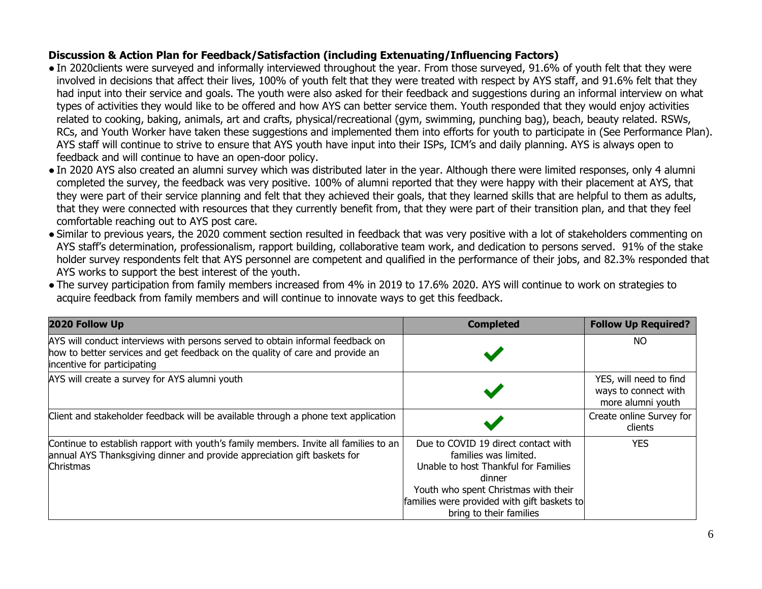## **Discussion & Action Plan for Feedback/Satisfaction (including Extenuating/Influencing Factors)**

- In 2020clients were surveyed and informally interviewed throughout the year. From those surveyed, 91.6% of youth felt that they were involved in decisions that affect their lives, 100% of youth felt that they were treated with respect by AYS staff, and 91.6% felt that they had input into their service and goals. The youth were also asked for their feedback and suggestions during an informal interview on what types of activities they would like to be offered and how AYS can better service them. Youth responded that they would enjoy activities related to cooking, baking, animals, art and crafts, physical/recreational (gym, swimming, punching bag), beach, beauty related. RSWs, RCs, and Youth Worker have taken these suggestions and implemented them into efforts for youth to participate in (See Performance Plan). AYS staff will continue to strive to ensure that AYS youth have input into their ISPs, ICM's and daily planning. AYS is always open to feedback and will continue to have an open-door policy.
- In 2020 AYS also created an alumni survey which was distributed later in the year. Although there were limited responses, only 4 alumni completed the survey, the feedback was very positive. 100% of alumni reported that they were happy with their placement at AYS, that they were part of their service planning and felt that they achieved their goals, that they learned skills that are helpful to them as adults, that they were connected with resources that they currently benefit from, that they were part of their transition plan, and that they feel comfortable reaching out to AYS post care.
- Similar to previous years, the 2020 comment section resulted in feedback that was very positive with a lot of stakeholders commenting on AYS staff's determination, professionalism, rapport building, collaborative team work, and dedication to persons served. 91% of the stake holder survey respondents felt that AYS personnel are competent and qualified in the performance of their jobs, and 82.3% responded that AYS works to support the best interest of the youth.
- The survey participation from family members increased from 4% in 2019 to 17.6% 2020. AYS will continue to work on strategies to acquire feedback from family members and will continue to innovate ways to get this feedback.

| 2020 Follow Up                                                                                                                                                                                 | <b>Completed</b>                                                                                                                                                                                                                 | <b>Follow Up Required?</b>                                          |
|------------------------------------------------------------------------------------------------------------------------------------------------------------------------------------------------|----------------------------------------------------------------------------------------------------------------------------------------------------------------------------------------------------------------------------------|---------------------------------------------------------------------|
| AYS will conduct interviews with persons served to obtain informal feedback on<br>how to better services and get feedback on the quality of care and provide an<br>incentive for participating |                                                                                                                                                                                                                                  | NO.                                                                 |
| AYS will create a survey for AYS alumni youth                                                                                                                                                  |                                                                                                                                                                                                                                  | YES, will need to find<br>ways to connect with<br>more alumni youth |
| Client and stakeholder feedback will be available through a phone text application                                                                                                             |                                                                                                                                                                                                                                  | Create online Survey for<br>clients                                 |
| Continue to establish rapport with youth's family members. Invite all families to an<br>annual AYS Thanksgiving dinner and provide appreciation gift baskets for<br>Christmas                  | Due to COVID 19 direct contact with<br>families was limited.<br>Unable to host Thankful for Families<br>dinner<br>Youth who spent Christmas with their<br>families were provided with gift baskets to<br>bring to their families | <b>YES</b>                                                          |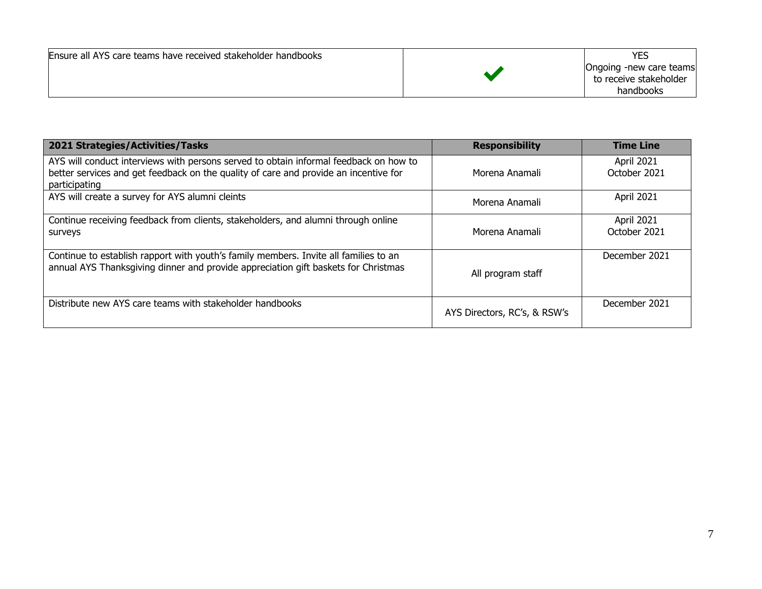| Ensure all AYS care teams have received stakeholder handbooks |  | <b>YES</b><br>Ongoing -new care teams<br>to receive stakeholder<br>handbooks |
|---------------------------------------------------------------|--|------------------------------------------------------------------------------|
|---------------------------------------------------------------|--|------------------------------------------------------------------------------|

| 2021 Strategies/Activities/Tasks                                                                                                                                                               | <b>Responsibility</b>        | <b>Time Line</b>           |
|------------------------------------------------------------------------------------------------------------------------------------------------------------------------------------------------|------------------------------|----------------------------|
| AYS will conduct interviews with persons served to obtain informal feedback on how to<br>better services and get feedback on the quality of care and provide an incentive for<br>participating | Morena Anamali               | April 2021<br>October 2021 |
| AYS will create a survey for AYS alumni cleints                                                                                                                                                | Morena Anamali               | April 2021                 |
| Continue receiving feedback from clients, stakeholders, and alumni through online<br>surveys                                                                                                   | Morena Anamali               | April 2021<br>October 2021 |
| Continue to establish rapport with youth's family members. Invite all families to an<br>annual AYS Thanksgiving dinner and provide appreciation gift baskets for Christmas                     | All program staff            | December 2021              |
| Distribute new AYS care teams with stakeholder handbooks                                                                                                                                       | AYS Directors, RC's, & RSW's | December 2021              |